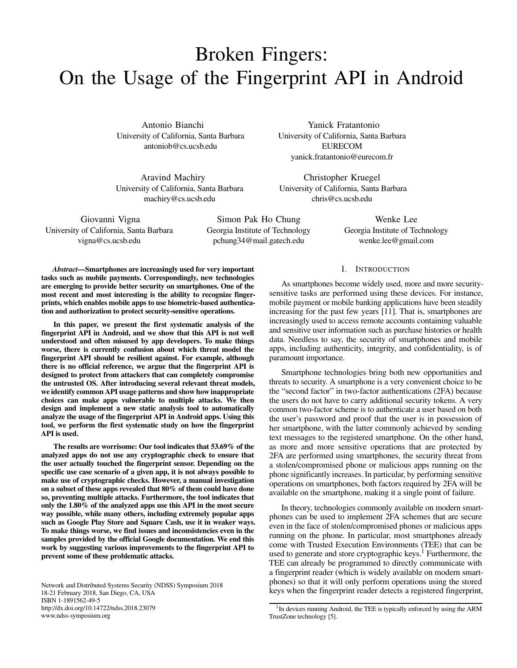# Broken Fingers: On the Usage of the Fingerprint API in Android

Antonio Bianchi University of California, Santa Barbara antoniob@cs.ucsb.edu

Aravind Machiry University of California, Santa Barbara machiry@cs.ucsb.edu

Yanick Fratantonio University of California, Santa Barbara EURECOM yanick.fratantonio@eurecom.fr

Christopher Kruegel University of California, Santa Barbara chris@cs.ucsb.edu

Giovanni Vigna University of California, Santa Barbara vigna@cs.ucsb.edu

Simon Pak Ho Chung Georgia Institute of Technology pchung34@mail.gatech.edu

Wenke Lee Georgia Institute of Technology wenke.lee@gmail.com

*Abstract*—Smartphones are increasingly used for very important tasks such as mobile payments. Correspondingly, new technologies are emerging to provide better security on smartphones. One of the most recent and most interesting is the ability to recognize fingerprints, which enables mobile apps to use biometric-based authentication and authorization to protect security-sensitive operations.

In this paper, we present the first systematic analysis of the fingerprint API in Android, and we show that this API is not well understood and often misused by app developers. To make things worse, there is currently confusion about which threat model the fingerprint API should be resilient against. For example, although there is no official reference, we argue that the fingerprint API is designed to protect from attackers that can completely compromise the untrusted OS. After introducing several relevant threat models, we identify common API usage patterns and show how inappropriate choices can make apps vulnerable to multiple attacks. We then design and implement a new static analysis tool to automatically analyze the usage of the fingerprint API in Android apps. Using this tool, we perform the first systematic study on how the fingerprint API is used.

The results are worrisome: Our tool indicates that 53.69% of the analyzed apps do not use any cryptographic check to ensure that the user actually touched the fingerprint sensor. Depending on the specific use case scenario of a given app, it is not always possible to make use of cryptographic checks. However, a manual investigation on a subset of these apps revealed that 80% of them could have done so, preventing multiple attacks. Furthermore, the tool indicates that only the 1.80% of the analyzed apps use this API in the most secure way possible, while many others, including extremely popular apps such as Google Play Store and Square Cash, use it in weaker ways. To make things worse, we find issues and inconsistencies even in the samples provided by the official Google documentation. We end this work by suggesting various improvements to the fingerprint API to prevent some of these problematic attacks.

Network and Distributed Systems Security (NDSS) Symposium 2018 18-21 February 2018, San Diego, CA, USA ISBN 1-1891562-49-5 http://dx.doi.org/10.14722/ndss.2018.23079 www.ndss-symposium.org

# I. INTRODUCTION

As smartphones become widely used, more and more securitysensitive tasks are performed using these devices. For instance, mobile payment or mobile banking applications have been steadily increasing for the past few years [\[11\]](#page-14-0). That is, smartphones are increasingly used to access remote accounts containing valuable and sensitive user information such as purchase histories or health data. Needless to say, the security of smartphones and mobile apps, including authenticity, integrity, and confidentiality, is of paramount importance.

Smartphone technologies bring both new opportunities and threats to security. A smartphone is a very convenient choice to be the "second factor" in two-factor authentications (2FA) because the users do not have to carry additional security tokens. A very common two-factor scheme is to authenticate a user based on both the user's password and proof that the user is in possession of her smartphone, with the latter commonly achieved by sending text messages to the registered smartphone. On the other hand, as more and more sensitive operations that are protected by 2FA are performed using smartphones, the security threat from a stolen/compromised phone or malicious apps running on the phone significantly increases. In particular, by performing sensitive operations on smartphones, both factors required by 2FA will be available on the smartphone, making it a single point of failure.

In theory, technologies commonly available on modern smartphones can be used to implement 2FA schemes that are secure even in the face of stolen/compromised phones or malicious apps running on the phone. In particular, most smartphones already come with Trusted Execution Environments (TEE) that can be used to generate and store cryptographic keys.<sup>[1](#page-0-0)</sup> Furthermore, the TEE can already be programmed to directly communicate with a fingerprint reader (which is widely available on modern smartphones) so that it will only perform operations using the stored keys when the fingerprint reader detects a registered fingerprint,

<span id="page-0-0"></span><sup>&</sup>lt;sup>1</sup>In devices running Android, the TEE is typically enforced by using the ARM TrustZone technology [\[5\]](#page-13-0).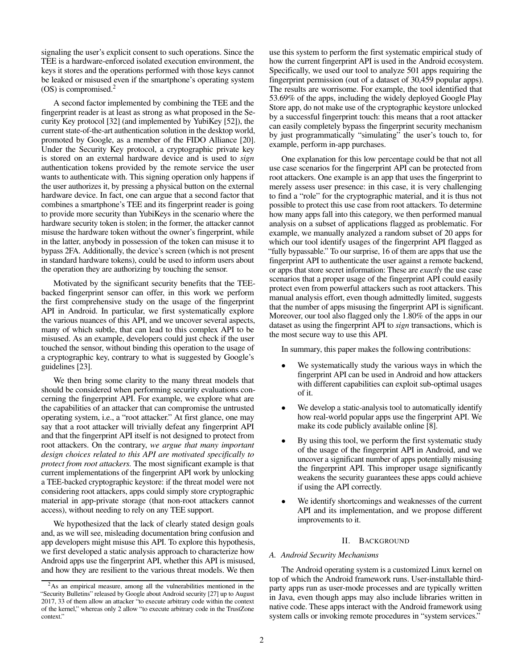signaling the user's explicit consent to such operations. Since the TEE is a hardware-enforced isolated execution environment, the keys it stores and the operations performed with those keys cannot be leaked or misused even if the smartphone's operating system  $(OS)$  is compromised.<sup>[2](#page-1-0)</sup>

A second factor implemented by combining the TEE and the fingerprint reader is at least as strong as what proposed in the Security Key protocol [\[32\]](#page-14-1) (and implemented by YubiKey [\[52\]](#page-14-2)), the current state-of-the-art authentication solution in the desktop world, promoted by Google, as a member of the FIDO Alliance [\[20\]](#page-14-3). Under the Security Key protocol, a cryptographic private key is stored on an external hardware device and is used to *sign* authentication tokens provided by the remote service the user wants to authenticate with. This signing operation only happens if the user authorizes it, by pressing a physical button on the external hardware device. In fact, one can argue that a second factor that combines a smartphone's TEE and its fingerprint reader is going to provide more security than YubiKeys in the scenario where the hardware security token is stolen; in the former, the attacker cannot misuse the hardware token without the owner's fingerprint, while in the latter, anybody in possession of the token can misuse it to bypass 2FA. Additionally, the device's screen (which is not present in standard hardware tokens), could be used to inform users about the operation they are authorizing by touching the sensor.

Motivated by the significant security benefits that the TEEbacked fingerprint sensor can offer, in this work we perform the first comprehensive study on the usage of the fingerprint API in Android. In particular, we first systematically explore the various nuances of this API, and we uncover several aspects, many of which subtle, that can lead to this complex API to be misused. As an example, developers could just check if the user touched the sensor, without binding this operation to the usage of a cryptographic key, contrary to what is suggested by Google's guidelines [\[23\]](#page-14-4).

We then bring some clarity to the many threat models that should be considered when performing security evaluations concerning the fingerprint API. For example, we explore what are the capabilities of an attacker that can compromise the untrusted operating system, i.e., a "root attacker." At first glance, one may say that a root attacker will trivially defeat any fingerprint API and that the fingerprint API itself is not designed to protect from root attackers. On the contrary, *we argue that many important design choices related to this API are motivated specifically to protect from root attackers.* The most significant example is that current implementations of the fingerprint API work by unlocking a TEE-backed cryptographic keystore: if the threat model were not considering root attackers, apps could simply store cryptographic material in app-private storage (that non-root attackers cannot access), without needing to rely on any TEE support.

We hypothesized that the lack of clearly stated design goals and, as we will see, misleading documentation bring confusion and app developers might misuse this API. To explore this hypothesis, we first developed a static analysis approach to characterize how Android apps use the fingerprint API, whether this API is misused, and how they are resilient to the various threat models. We then

use this system to perform the first systematic empirical study of how the current fingerprint API is used in the Android ecosystem. Specifically, we used our tool to analyze 501 apps requiring the fingerprint permission (out of a dataset of 30,459 popular apps). The results are worrisome. For example, the tool identified that 53.69% of the apps, including the widely deployed Google Play Store app, do not make use of the cryptographic keystore unlocked by a successful fingerprint touch: this means that a root attacker can easily completely bypass the fingerprint security mechanism by just programmatically "simulating" the user's touch to, for example, perform in-app purchases.

One explanation for this low percentage could be that not all use case scenarios for the fingerprint API can be protected from root attackers. One example is an app that uses the fingerprint to merely assess user presence: in this case, it is very challenging to find a "role" for the cryptographic material, and it is thus not possible to protect this use case from root attackers. To determine how many apps fall into this category, we then performed manual analysis on a subset of applications flagged as problematic. For example, we manually analyzed a random subset of 20 apps for which our tool identify usages of the fingerprint API flagged as "fully bypassable." To our surprise, 16 of them are apps that use the fingerprint API to authenticate the user against a remote backend, or apps that store secret information: These are *exactly* the use case scenarios that a proper usage of the fingerprint API could easily protect even from powerful attackers such as root attackers. This manual analysis effort, even though admittedly limited, suggests that the number of apps misusing the fingerprint API is significant. Moreover, our tool also flagged only the 1.80% of the apps in our dataset as using the fingerprint API to *sign* transactions, which is the most secure way to use this API.

In summary, this paper makes the following contributions:

- We systematically study the various ways in which the fingerprint API can be used in Android and how attackers with different capabilities can exploit sub-optimal usages of it.
- We develop a static-analysis tool to automatically identify how real-world popular apps use the fingerprint API. We make its code publicly available online [\[8\]](#page-13-1).
- By using this tool, we perform the first systematic study of the usage of the fingerprint API in Android, and we uncover a significant number of apps potentially misusing the fingerprint API. This improper usage significantly weakens the security guarantees these apps could achieve if using the API correctly.
- We identify shortcomings and weaknesses of the current API and its implementation, and we propose different improvements to it.

# II. BACKGROUND

# *A. Android Security Mechanisms*

The Android operating system is a customized Linux kernel on top of which the Android framework runs. User-installable thirdparty apps run as user-mode processes and are typically written in Java, even though apps may also include libraries written in native code. These apps interact with the Android framework using system calls or invoking remote procedures in "system services."

<span id="page-1-0"></span><sup>2</sup>As an empirical measure, among all the vulnerabilities mentioned in the "Security Bulletins" released by Google about Android security [\[27\]](#page-14-5) up to August 2017, 33 of them allow an attacker "to execute arbitrary code within the context of the kernel," whereas only 2 allow "to execute arbitrary code in the TrustZone context."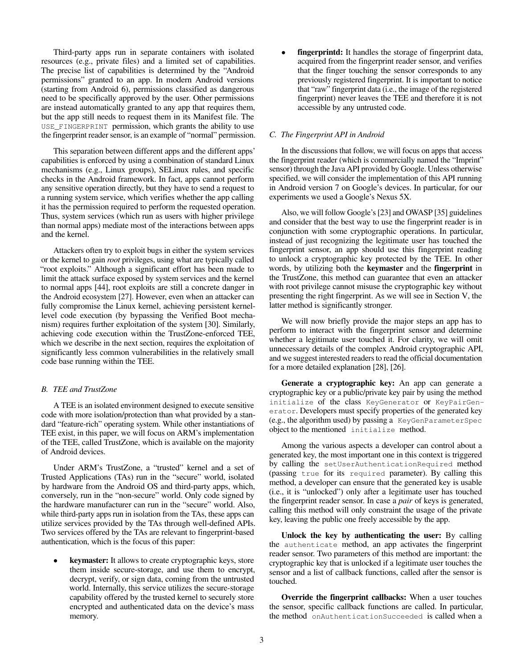Third-party apps run in separate containers with isolated resources (e.g., private files) and a limited set of capabilities. The precise list of capabilities is determined by the "Android permissions" granted to an app. In modern Android versions (starting from Android 6), permissions classified as dangerous need to be specifically approved by the user. Other permissions are instead automatically granted to any app that requires them, but the app still needs to request them in its Manifest file. The USE\_FINGERPRINT permission, which grants the ability to use the fingerprint reader sensor, is an example of "normal" permission.

This separation between different apps and the different apps' capabilities is enforced by using a combination of standard Linux mechanisms (e.g., Linux groups), SELinux rules, and specific checks in the Android framework. In fact, apps cannot perform any sensitive operation directly, but they have to send a request to a running system service, which verifies whether the app calling it has the permission required to perform the requested operation. Thus, system services (which run as users with higher privilege than normal apps) mediate most of the interactions between apps and the kernel.

Attackers often try to exploit bugs in either the system services or the kernel to gain *root* privileges, using what are typically called "root exploits." Although a significant effort has been made to limit the attack surface exposed by system services and the kernel to normal apps [\[44\]](#page-14-6), root exploits are still a concrete danger in the Android ecosystem [\[27\]](#page-14-5). However, even when an attacker can fully compromise the Linux kernel, achieving persistent kernellevel code execution (by bypassing the Verified Boot mechanism) requires further exploitation of the system [\[30\]](#page-14-7). Similarly, achieving code execution within the TrustZone-enforced TEE, which we describe in the next section, requires the exploitation of significantly less common vulnerabilities in the relatively small code base running within the TEE.

# *B. TEE and TrustZone*

A TEE is an isolated environment designed to execute sensitive code with more isolation/protection than what provided by a standard "feature-rich" operating system. While other instantiations of TEE exist, in this paper, we will focus on ARM's implementation of the TEE, called TrustZone, which is available on the majority of Android devices.

Under ARM's TrustZone, a "trusted" kernel and a set of Trusted Applications (TAs) run in the "secure" world, isolated by hardware from the Android OS and third-party apps, which, conversely, run in the "non-secure" world. Only code signed by the hardware manufacturer can run in the "secure" world. Also, while third-party apps run in isolation from the TAs, these apps can utilize services provided by the TAs through well-defined APIs. Two services offered by the TAs are relevant to fingerprint-based authentication, which is the focus of this paper:

**keymaster:** It allows to create cryptographic keys, store them inside secure-storage, and use them to encrypt, decrypt, verify, or sign data, coming from the untrusted world. Internally, this service utilizes the secure-storage capability offered by the trusted kernel to securely store encrypted and authenticated data on the device's mass memory.

fingerprintd: It handles the storage of fingerprint data, acquired from the fingerprint reader sensor, and verifies that the finger touching the sensor corresponds to any previously registered fingerprint. It is important to notice that "raw" fingerprint data (i.e., the image of the registered fingerprint) never leaves the TEE and therefore it is not accessible by any untrusted code.

# <span id="page-2-0"></span>*C. The Fingerprint API in Android*

In the discussions that follow, we will focus on apps that access the fingerprint reader (which is commercially named the "Imprint" sensor) through the Java API provided by Google. Unless otherwise specified, we will consider the implementation of this API running in Android version 7 on Google's devices. In particular, for our experiments we used a Google's Nexus 5X.

Also, we will follow Google's [\[23\]](#page-14-4) and OWASP [\[35\]](#page-14-8) guidelines and consider that the best way to use the fingerprint reader is in conjunction with some cryptographic operations. In particular, instead of just recognizing the legitimate user has touched the fingerprint sensor, an app should use this fingerprint reading to unlock a cryptographic key protected by the TEE. In other words, by utilizing both the keymaster and the fingerprint in the TrustZone, this method can guarantee that even an attacker with root privilege cannot misuse the cryptographic key without presenting the right fingerprint. As we will see in Section [V,](#page-5-0) the latter method is significantly stronger.

We will now briefly provide the major steps an app has to perform to interact with the fingerprint sensor and determine whether a legitimate user touched it. For clarity, we will omit unnecessary details of the complex Android cryptographic API, and we suggest interested readers to read the official documentation for a more detailed explanation [\[28\]](#page-14-9), [\[26\]](#page-14-10).

Generate a cryptographic key: An app can generate a cryptographic key or a public/private key pair by using the method initialize of the class KeyGenerator or KeyPairGenerator. Developers must specify properties of the generated key (e.g., the algorithm used) by passing a KeyGenParameterSpec object to the mentioned initialize method.

Among the various aspects a developer can control about a generated key, the most important one in this context is triggered by calling the setUserAuthenticationRequired method (passing true for its required parameter). By calling this method, a developer can ensure that the generated key is usable (i.e., it is "unlocked") only after a legitimate user has touched the fingerprint reader sensor. In case a *pair* of keys is generated, calling this method will only constraint the usage of the private key, leaving the public one freely accessible by the app.

Unlock the key by authenticating the user: By calling the authenticate method, an app activates the fingerprint reader sensor. Two parameters of this method are important: the cryptographic key that is unlocked if a legitimate user touches the sensor and a list of callback functions, called after the sensor is touched.

Override the fingerprint callbacks: When a user touches the sensor, specific callback functions are called. In particular, the method onAuthenticationSucceeded is called when a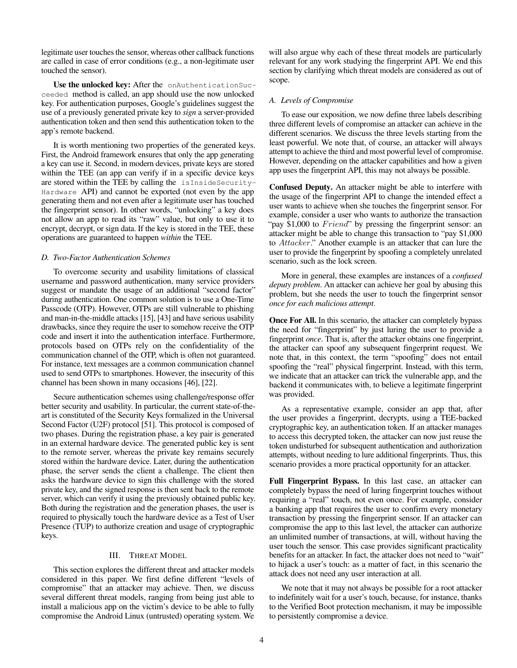legitimate user touches the sensor, whereas other callback functions are called in case of error conditions (e.g., a non-legitimate user touched the sensor).

Use the unlocked key: After the onAuthenticationSucceeded method is called, an app should use the now unlocked key. For authentication purposes, Google's guidelines suggest the use of a previously generated private key to *sign* a server-provided authentication token and then send this authentication token to the app's remote backend.

It is worth mentioning two properties of the generated keys. First, the Android framework ensures that only the app generating a key can use it. Second, in modern devices, private keys are stored within the TEE (an app can verify if in a specific device keys are stored within the TEE by calling the isInsideSecurity-Hardware API) and cannot be exported (not even by the app generating them and not even after a legitimate user has touched the fingerprint sensor). In other words, "unlocking" a key does not allow an app to read its "raw" value, but only to use it to encrypt, decrypt, or sign data. If the key is stored in the TEE, these operations are guaranteed to happen *within* the TEE.

## *D. Two-Factor Authentication Schemes*

To overcome security and usability limitations of classical username and password authentication, many service providers suggest or mandate the usage of an additional "second factor" during authentication. One common solution is to use a One-Time Passcode (OTP). However, OTPs are still vulnerable to phishing and man-in-the-middle attacks [\[15\]](#page-14-11), [\[43\]](#page-14-12) and have serious usability drawbacks, since they require the user to somehow receive the OTP code and insert it into the authentication interface. Furthermore, protocols based on OTPs rely on the confidentiality of the communication channel of the OTP, which is often not guaranteed. For instance, text messages are a common communication channel used to send OTPs to smartphones. However, the insecurity of this channel has been shown in many occasions [\[46\]](#page-14-13), [\[22\]](#page-14-14).

Secure authentication schemes using challenge/response offer better security and usability. In particular, the current state-of-theart is constituted of the Security Keys formalized in the Universal Second Factor (U2F) protocol [\[51\]](#page-14-15). This protocol is composed of two phases. During the registration phase, a key pair is generated in an external hardware device. The generated public key is sent to the remote server, whereas the private key remains securely stored within the hardware device. Later, during the authentication phase, the server sends the client a challenge. The client then asks the hardware device to sign this challenge with the stored private key, and the signed response is then sent back to the remote server, which can verify it using the previously obtained public key. Both during the registration and the generation phases, the user is required to physically touch the hardware device as a Test of User Presence (TUP) to authorize creation and usage of cryptographic keys.

# III. THREAT MODEL

<span id="page-3-0"></span>This section explores the different threat and attacker models considered in this paper. We first define different "levels of compromise" that an attacker may achieve. Then, we discuss several different threat models, ranging from being just able to install a malicious app on the victim's device to be able to fully compromise the Android Linux (untrusted) operating system. We will also argue why each of these threat models are particularly relevant for any work studying the fingerprint API. We end this section by clarifying which threat models are considered as out of scope.

## *A. Levels of Compromise*

To ease our exposition, we now define three labels describing three different levels of compromise an attacker can achieve in the different scenarios. We discuss the three levels starting from the least powerful. We note that, of course, an attacker will always attempt to achieve the third and most powerful level of compromise. However, depending on the attacker capabilities and how a given app uses the fingerprint API, this may not always be possible.

Confused Deputy. An attacker might be able to interfere with the usage of the fingerprint API to change the intended effect a user wants to achieve when she touches the fingerprint sensor. For example, consider a user who wants to authorize the transaction "pay \$1,000 to  $Friend$ " by pressing the fingerprint sensor: an attacker might be able to change this transaction to "pay \$1,000 to Attacker." Another example is an attacker that can lure the user to provide the fingerprint by spoofing a completely unrelated scenario, such as the lock screen.

More in general, these examples are instances of a *confused deputy problem*. An attacker can achieve her goal by abusing this problem, but she needs the user to touch the fingerprint sensor *once for each malicious attempt*.

Once For All. In this scenario, the attacker can completely bypass the need for "fingerprint" by just luring the user to provide a fingerprint *once*. That is, after the attacker obtains one fingerprint, the attacker can spoof any subsequent fingerprint request. We note that, in this context, the term "spoofing" does not entail spoofing the "real" physical fingerprint. Instead, with this term, we indicate that an attacker can trick the vulnerable app, and the backend it communicates with, to believe a legitimate fingerprint was provided.

As a representative example, consider an app that, after the user provides a fingerprint, decrypts, using a TEE-backed cryptographic key, an authentication token. If an attacker manages to access this decrypted token, the attacker can now just reuse the token undisturbed for subsequent authentication and authorization attempts, without needing to lure additional fingerprints. Thus, this scenario provides a more practical opportunity for an attacker.

Full Fingerprint Bypass. In this last case, an attacker can completely bypass the need of luring fingerprint touches without requiring a "real" touch, not even once. For example, consider a banking app that requires the user to confirm every monetary transaction by pressing the fingerprint sensor. If an attacker can compromise the app to this last level, the attacker can authorize an unlimited number of transactions, at will, without having the user touch the sensor. This case provides significant practicality benefits for an attacker. In fact, the attacker does not need to "wait" to hijack a user's touch: as a matter of fact, in this scenario the attack does not need any user interaction at all.

We note that it may not always be possible for a root attacker to indefinitely wait for a user's touch, because, for instance, thanks to the Verified Boot protection mechanism, it may be impossible to persistently compromise a device.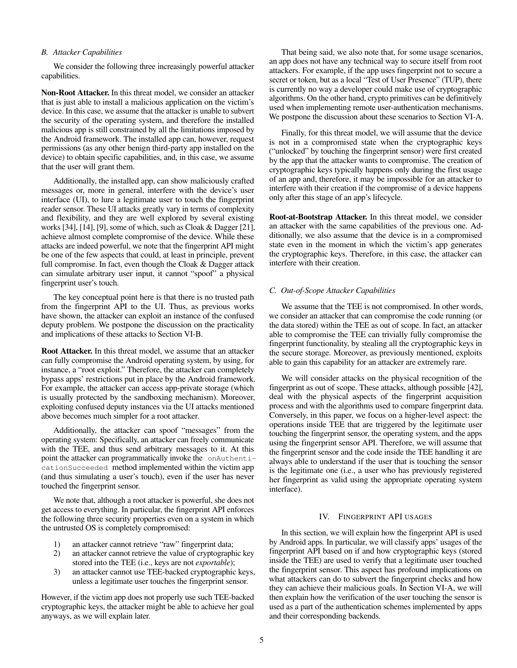# *B. Attacker Capabilities*

We consider the following three increasingly powerful attacker capabilities.

Non-Root Attacker. In this threat model, we consider an attacker that is just able to install a malicious application on the victim's device. In this case, we assume that the attacker is unable to subvert the security of the operating system, and therefore the installed malicious app is still constrained by all the limitations imposed by the Android framework. The installed app can, however, request permissions (as any other benign third-party app installed on the device) to obtain specific capabilities, and, in this case, we assume that the user will grant them.

Additionally, the installed app, can show maliciously crafted messages or, more in general, interfere with the device's user interface (UI), to lure a legitimate user to touch the fingerprint reader sensor. These UI attacks greatly vary in terms of complexity and flexibility, and they are well explored by several existing works [\[34\]](#page-14-16), [\[14\]](#page-14-17), [\[9\]](#page-14-18), some of which, such as Cloak & Dagger [\[21\]](#page-14-19), achieve almost complete compromise of the device. While these attacks are indeed powerful, we note that the fingerprint API might be one of the few aspects that could, at least in principle, prevent full compromise. In fact, even though the Cloak & Dagger attack can simulate arbitrary user input, it cannot "spoof" a physical fingerprint user's touch.

The key conceptual point here is that there is no trusted path from the fingerprint API to the UI. Thus, as previous works have shown, the attacker can exploit an instance of the confused deputy problem. We postpone the discussion on the practicality and implications of these attacks to Section [VI-B.](#page-7-0)

Root Attacker. In this threat model, we assume that an attacker can fully compromise the Android operating system, by using, for instance, a "root exploit." Therefore, the attacker can completely bypass apps' restrictions put in place by the Android framework. For example, the attacker can access app-private storage (which is usually protected by the sandboxing mechanism). Moreover, exploiting confused deputy instances via the UI attacks mentioned above becomes much simpler for a root attacker.

Additionally, the attacker can spoof "messages" from the operating system: Specifically, an attacker can freely communicate with the TEE, and thus send arbitrary messages to it. At this point the attacker can programmatically invoke the onAuthenticationSucceeded method implemented within the victim app (and thus simulating a user's touch), even if the user has never touched the fingerprint sensor.

We note that, although a root attacker is powerful, she does not get access to everything. In particular, the fingerprint API enforces the following three security properties even on a system in which the untrusted OS is completely compromised:

- 1) an attacker cannot retrieve "raw" fingerprint data;
- 2) an attacker cannot retrieve the value of cryptographic key stored into the TEE (i.e., keys are not *exportable*);
- 3) an attacker cannot use TEE-backed cryptographic keys, unless a legitimate user touches the fingerprint sensor.

However, if the victim app does not properly use such TEE-backed cryptographic keys, the attacker might be able to achieve her goal anyways, as we will explain later.

That being said, we also note that, for some usage scenarios, an app does not have any technical way to secure itself from root attackers. For example, if the app uses fingerprint not to secure a secret or token, but as a local "Test of User Presence" (TUP), there is currently no way a developer could make use of cryptographic algorithms. On the other hand, crypto primitives can be definitively used when implementing remote user-authentication mechanisms. We postpone the discussion about these scenarios to Section [VI-A.](#page-6-0)

Finally, for this threat model, we will assume that the device is not in a compromised state when the cryptographic keys ("unlocked" by touching the fingerprint sensor) were first created by the app that the attacker wants to compromise. The creation of cryptographic keys typically happens only during the first usage of an app and, therefore, it may be impossible for an attacker to interfere with their creation if the compromise of a device happens only after this stage of an app's lifecycle.

Root-at-Bootstrap Attacker. In this threat model, we consider an attacker with the same capabilities of the previous one. Additionally, we also assume that the device is in a compromised state even in the moment in which the victim's app generates the cryptographic keys. Therefore, in this case, the attacker can interfere with their creation.

## *C. Out-of-Scope Attacker Capabilities*

We assume that the TEE is not compromised. In other words, we consider an attacker that can compromise the code running (or the data stored) within the TEE as out of scope. In fact, an attacker able to compromise the TEE can trivially fully compromise the fingerprint functionality, by stealing all the cryptographic keys in the secure storage. Moreover, as previously mentioned, exploits able to gain this capability for an attacker are extremely rare.

We will consider attacks on the physical recognition of the fingerprint as out of scope. These attacks, although possible [\[42\]](#page-14-20), deal with the physical aspects of the fingerprint acquisition process and with the algorithms used to compare fingerprint data. Conversely, in this paper, we focus on a higher-level aspect: the operations inside TEE that are triggered by the legitimate user touching the fingerprint sensor, the operating system, and the apps using the fingerprint sensor API. Therefore, we will assume that the fingerprint sensor and the code inside the TEE handling it are always able to understand if the user that is touching the sensor is the legitimate one (i.e., a user who has previously registered her fingerprint as valid using the appropriate operating system interface).

## IV. FINGERPRINT API USAGES

<span id="page-4-0"></span>In this section, we will explain how the fingerprint API is used by Android apps. In particular, we will classify apps' usages of the fingerprint API based on if and how cryptographic keys (stored inside the TEE) are used to verify that a legitimate user touched the fingerprint sensor. This aspect has profound implications on what attackers can do to subvert the fingerprint checks and how they can achieve their malicious goals. In Section [VI-A,](#page-6-0) we will then explain how the verification of the user touching the sensor is used as a part of the authentication schemes implemented by apps and their corresponding backends.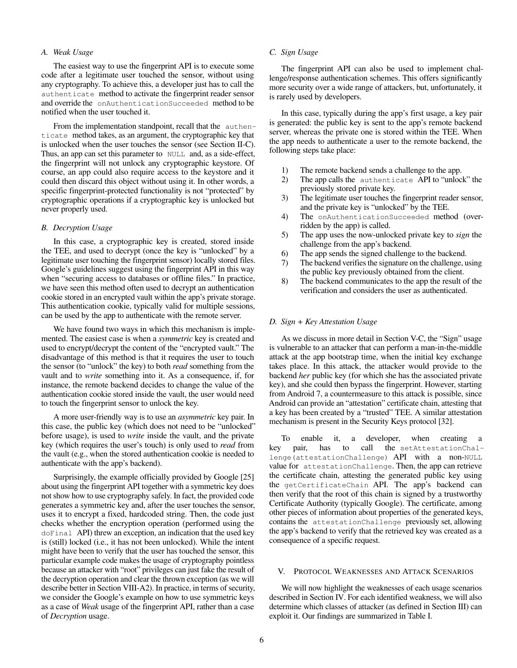# *A. Weak Usage*

The easiest way to use the fingerprint API is to execute some code after a legitimate user touched the sensor, without using any cryptography. To achieve this, a developer just has to call the authenticate method to activate the fingerprint reader sensor and override the onAuthenticationSucceeded method to be notified when the user touched it.

From the implementation standpoint, recall that the authenticate method takes, as an argument, the cryptographic key that is unlocked when the user touches the sensor (see Section [II-C\)](#page-2-0). Thus, an app can set this parameter to NULL and, as a side-effect, the fingerprint will not unlock any cryptographic keystore. Of course, an app could also require access to the keystore and it could then discard this object without using it. In other words, a specific fingerprint-protected functionality is not "protected" by cryptographic operations if a cryptographic key is unlocked but never properly used.

# <span id="page-5-1"></span>*B. Decryption Usage*

In this case, a cryptographic key is created, stored inside the TEE, and used to decrypt (once the key is "unlocked" by a legitimate user touching the fingerprint sensor) locally stored files. Google's guidelines suggest using the fingerprint API in this way when "securing access to databases or offline files." In practice, we have seen this method often used to decrypt an authentication cookie stored in an encrypted vault within the app's private storage. This authentication cookie, typically valid for multiple sessions, can be used by the app to authenticate with the remote server.

We have found two ways in which this mechanism is implemented. The easiest case is when a *symmetric* key is created and used to encrypt/decrypt the content of the "encrypted vault." The disadvantage of this method is that it requires the user to touch the sensor (to "unlock" the key) to both *read* something from the vault and to *write* something into it. As a consequence, if, for instance, the remote backend decides to change the value of the authentication cookie stored inside the vault, the user would need to touch the fingerprint sensor to unlock the key.

A more user-friendly way is to use an *asymmetric* key pair. In this case, the public key (which does not need to be "unlocked" before usage), is used to *write* inside the vault, and the private key (which requires the user's touch) is only used to *read* from the vault (e.g., when the stored authentication cookie is needed to authenticate with the app's backend).

Surprisingly, the example officially provided by Google [\[25\]](#page-14-21) about using the fingerprint API together with a symmetric key does not show how to use cryptography safely. In fact, the provided code generates a symmetric key and, after the user touches the sensor, uses it to encrypt a fixed, hardcoded string. Then, the code just checks whether the encryption operation (performed using the doFinal API) threw an exception, an indication that the used key is (still) locked (i.e., it has not been unlocked). While the intent might have been to verify that the user has touched the sensor, this particular example code makes the usage of cryptography pointless because an attacker with "root" privileges can just fake the result of the decryption operation and clear the thrown exception (as we will describe better in Section [VIII-A2\)](#page-9-0). In practice, in terms of security, we consider the Google's example on how to use symmetric keys as a case of *Weak* usage of the fingerprint API, rather than a case of *Decryption* usage.

# *C. Sign Usage*

The fingerprint API can also be used to implement challenge/response authentication schemes. This offers significantly more security over a wide range of attackers, but, unfortunately, it is rarely used by developers.

In this case, typically during the app's first usage, a key pair is generated: the public key is sent to the app's remote backend server, whereas the private one is stored within the TEE. When the app needs to authenticate a user to the remote backend, the following steps take place:

- 1) The remote backend sends a challenge to the app.
- 2) The app calls the authenticate API to "unlock" the previously stored private key.
- 3) The legitimate user touches the fingerprint reader sensor, and the private key is "unlocked" by the TEE.
- 4) The onAuthenticationSucceeded method (overridden by the app) is called.
- 5) The app uses the now-unlocked private key to *sign* the challenge from the app's backend.
- 6) The app sends the signed challenge to the backend.
- 7) The backend verifies the signature on the challenge, using the public key previously obtained from the client.
- 8) The backend communicates to the app the result of the verification and considers the user as authenticated.

#### *D. Sign + Key Attestation Usage*

As we discuss in more detail in Section [V-C,](#page-6-1) the "Sign" usage is vulnerable to an attacker that can perform a man-in-the-middle attack at the app bootstrap time, when the initial key exchange takes place. In this attack, the attacker would provide to the backend *her* public key (for which she has the associated private key), and she could then bypass the fingerprint. However, starting from Android 7, a countermeasure to this attack is possible, since Android can provide an "attestation" certificate chain, attesting that a key has been created by a "trusted" TEE. A similar attestation mechanism is present in the Security Keys protocol [\[32\]](#page-14-1).

To enable it, a developer, when creating a key pair, has to call the setAttestationChallenge(attestationChallenge) API with a non-NULL value for attestationChallenge. Then, the app can retrieve the certificate chain, attesting the generated public key using the getCertificateChain API. The app's backend can then verify that the root of this chain is signed by a trustworthy Certificate Authority (typically Google). The certificate, among other pieces of information about properties of the generated keys, contains the attestationChallenge previously set, allowing the app's backend to verify that the retrieved key was created as a consequence of a specific request.

## <span id="page-5-0"></span>V. PROTOCOL WEAKNESSES AND ATTACK SCENARIOS

We will now highlight the weaknesses of each usage scenarios described in Section [IV.](#page-4-0) For each identified weakness, we will also determine which classes of attacker (as defined in Section [III\)](#page-3-0) can exploit it. Our findings are summarized in Table [I.](#page-6-2)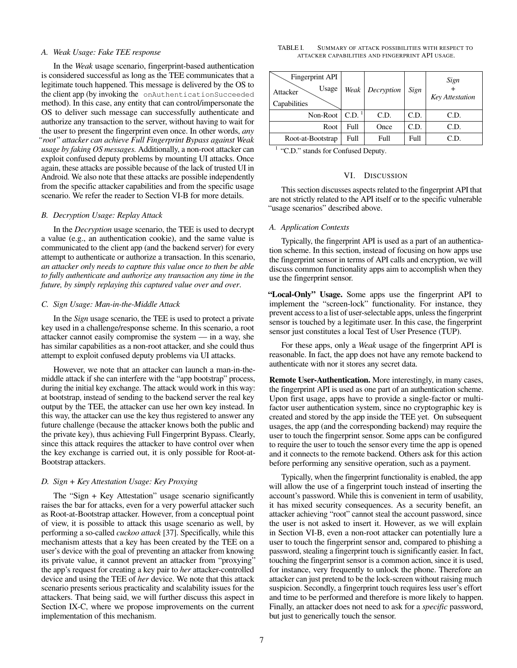#### *A. Weak Usage: Fake TEE response*

In the *Weak* usage scenario, fingerprint-based authentication is considered successful as long as the TEE communicates that a legitimate touch happened. This message is delivered by the OS to the client app (by invoking the onAuthenticationSucceeded method). In this case, any entity that can control/impersonate the OS to deliver such message can successfully authenticate and authorize any transaction to the server, without having to wait for the user to present the fingerprint even once. In other words, *any "root" attacker can achieve Full Fingerprint Bypass against Weak usage by faking OS messages.* Additionally, a non-root attacker can exploit confused deputy problems by mounting UI attacks. Once again, these attacks are possible because of the lack of trusted UI in Android. We also note that these attacks are possible independently from the specific attacker capabilities and from the specific usage scenario. We refer the reader to Section [VI-B](#page-7-0) for more details.

#### *B. Decryption Usage: Replay Attack*

In the *Decryption* usage scenario, the TEE is used to decrypt a value (e.g., an authentication cookie), and the same value is communicated to the client app (and the backend server) for every attempt to authenticate or authorize a transaction. In this scenario, *an attacker only needs to capture this value once to then be able to fully authenticate and authorize any transaction any time in the future, by simply replaying this captured value over and over*.

#### <span id="page-6-1"></span>*C. Sign Usage: Man-in-the-Middle Attack*

In the *Sign* usage scenario, the TEE is used to protect a private key used in a challenge/response scheme. In this scenario, a root attacker cannot easily compromise the system — in a way, she has similar capabilities as a non-root attacker, and she could thus attempt to exploit confused deputy problems via UI attacks.

However, we note that an attacker can launch a man-in-themiddle attack if she can interfere with the "app bootstrap" process, during the initial key exchange. The attack would work in this way: at bootstrap, instead of sending to the backend server the real key output by the TEE, the attacker can use her own key instead. In this way, the attacker can use the key thus registered to answer any future challenge (because the attacker knows both the public and the private key), thus achieving Full Fingerprint Bypass. Clearly, since this attack requires the attacker to have control over when the key exchange is carried out, it is only possible for Root-at-Bootstrap attackers.

## <span id="page-6-3"></span>*D. Sign + Key Attestation Usage: Key Proxying*

The "Sign + Key Attestation" usage scenario significantly raises the bar for attacks, even for a very powerful attacker such as Root-at-Bootstrap attacker. However, from a conceptual point of view, it is possible to attack this usage scenario as well, by performing a so-called *cuckoo attack* [\[37\]](#page-14-22). Specifically, while this mechanism attests that a key has been created by the TEE on a user's device with the goal of preventing an attacker from knowing its private value, it cannot prevent an attacker from "proxying" the app's request for creating a key pair to *her* attacker-controlled device and using the TEE of *her* device. We note that this attack scenario presents serious practicality and scalability issues for the attackers. That being said, we will further discuss this aspect in Section [IX-C,](#page-12-0) where we propose improvements on the current implementation of this mechanism.

<span id="page-6-2"></span>

| TABLE I. |                                                  | SUMMARY OF ATTACK POSSIBILITIES WITH RESPECT TO |  |
|----------|--------------------------------------------------|-------------------------------------------------|--|
|          | ATTACKER CAPABILITIES AND FINGERPRINT API USAGE. |                                                 |  |

| Fingerprint API<br>Usage<br>Attacker<br>Capabilities | Weak             | Decryption | Sign | Sign<br><b>Key Attestation</b> |
|------------------------------------------------------|------------------|------------|------|--------------------------------|
| Non-Root                                             | CD. <sup>1</sup> | C.D.       | C.D. | C.D.                           |
| Root                                                 | Full             | Once       | C.D. | C.D.                           |
| Root-at-Bootstrap                                    | Full             | Full       | Full | C.D.                           |

<sup>1</sup> "C.D." stands for Confused Deputy.

#### VI. DISCUSSION

This section discusses aspects related to the fingerprint API that are not strictly related to the API itself or to the specific vulnerable "usage scenarios" described above.

# <span id="page-6-0"></span>*A. Application Contexts*

Typically, the fingerprint API is used as a part of an authentication scheme. In this section, instead of focusing on how apps use the fingerprint sensor in terms of API calls and encryption, we will discuss common functionality apps aim to accomplish when they use the fingerprint sensor.

"Local-Only" Usage. Some apps use the fingerprint API to implement the "screen-lock" functionality. For instance, they prevent access to a list of user-selectable apps, unless the fingerprint sensor is touched by a legitimate user. In this case, the fingerprint sensor just constitutes a local Test of User Presence (TUP).

For these apps, only a *Weak* usage of the fingerprint API is reasonable. In fact, the app does not have any remote backend to authenticate with nor it stores any secret data.

Remote User-Authentication. More interestingly, in many cases, the fingerprint API is used as one part of an authentication scheme. Upon first usage, apps have to provide a single-factor or multifactor user authentication system, since no cryptographic key is created and stored by the app inside the TEE yet. On subsequent usages, the app (and the corresponding backend) may require the user to touch the fingerprint sensor. Some apps can be configured to require the user to touch the sensor every time the app is opened and it connects to the remote backend. Others ask for this action before performing any sensitive operation, such as a payment.

Typically, when the fingerprint functionality is enabled, the app will allow the use of a fingerprint touch instead of inserting the account's password. While this is convenient in term of usability, it has mixed security consequences. As a security benefit, an attacker achieving "root" cannot steal the account password, since the user is not asked to insert it. However, as we will explain in Section [VI-B,](#page-7-0) even a non-root attacker can potentially lure a user to touch the fingerprint sensor and, compared to phishing a password, stealing a fingerprint touch is significantly easier. In fact, touching the fingerprint sensor is a common action, since it is used, for instance, very frequently to unlock the phone. Therefore an attacker can just pretend to be the lock-screen without raising much suspicion. Secondly, a fingerprint touch requires less user's effort and time to be performed and therefore is more likely to happen. Finally, an attacker does not need to ask for a *specific* password, but just to generically touch the sensor.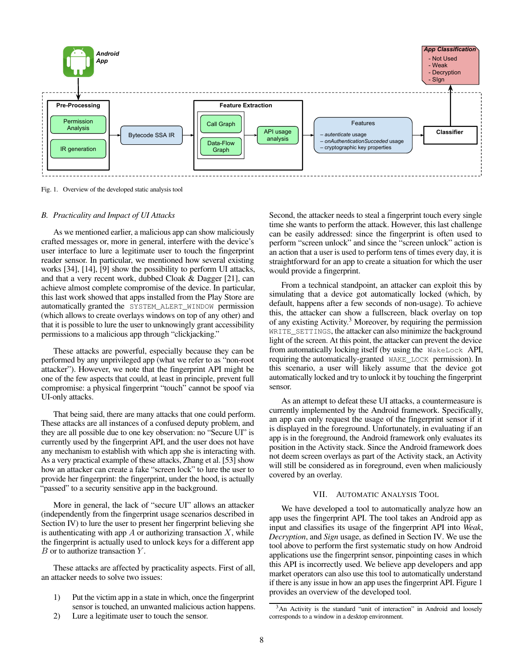

<span id="page-7-2"></span>Fig. 1. Overview of the developed static analysis tool

#### <span id="page-7-0"></span>*B. Practicality and Impact of UI Attacks*

As we mentioned earlier, a malicious app can show maliciously crafted messages or, more in general, interfere with the device's user interface to lure a legitimate user to touch the fingerprint reader sensor. In particular, we mentioned how several existing works [\[34\]](#page-14-16), [\[14\]](#page-14-17), [\[9\]](#page-14-18) show the possibility to perform UI attacks, and that a very recent work, dubbed Cloak & Dagger [\[21\]](#page-14-19), can achieve almost complete compromise of the device. In particular, this last work showed that apps installed from the Play Store are automatically granted the SYSTEM\_ALERT\_WINDOW permission (which allows to create overlays windows on top of any other) and that it is possible to lure the user to unknowingly grant accessibility permissions to a malicious app through "clickjacking."

These attacks are powerful, especially because they can be performed by any unprivileged app (what we refer to as "non-root attacker"). However, we note that the fingerprint API might be one of the few aspects that could, at least in principle, prevent full compromise: a physical fingerprint "touch" cannot be spoof via UI-only attacks.

That being said, there are many attacks that one could perform. These attacks are all instances of a confused deputy problem, and they are all possible due to one key observation: no "Secure UI" is currently used by the fingerprint API, and the user does not have any mechanism to establish with which app she is interacting with. As a very practical example of these attacks, Zhang et al. [\[53\]](#page-14-23) show how an attacker can create a fake "screen lock" to lure the user to provide her fingerprint: the fingerprint, under the hood, is actually "passed" to a security sensitive app in the background.

More in general, the lack of "secure UI" allows an attacker (independently from the fingerprint usage scenarios described in Section [IV\)](#page-4-0) to lure the user to present her fingerprint believing she is authenticating with app  $A$  or authorizing transaction  $X$ , while the fingerprint is actually used to unlock keys for a different app  $B$  or to authorize transaction  $Y$ .

These attacks are affected by practicality aspects. First of all, an attacker needs to solve two issues:

- 1) Put the victim app in a state in which, once the fingerprint sensor is touched, an unwanted malicious action happens.
- 2) Lure a legitimate user to touch the sensor.

Second, the attacker needs to steal a fingerprint touch every single time she wants to perform the attack. However, this last challenge can be easily addressed: since the fingerprint is often used to perform "screen unlock" and since the "screen unlock" action is an action that a user is used to perform tens of times every day, it is straightforward for an app to create a situation for which the user would provide a fingerprint.

From a technical standpoint, an attacker can exploit this by simulating that a device got automatically locked (which, by default, happens after a few seconds of non-usage). To achieve this, the attacker can show a fullscreen, black overlay on top of any existing Activity.<sup>[3](#page-7-1)</sup> Moreover, by requiring the permission WRITE SETTINGS, the attacker can also minimize the background light of the screen. At this point, the attacker can prevent the device from automatically locking itself (by using the WakeLock API, requiring the automatically-granted WAKE\_LOCK permission). In this scenario, a user will likely assume that the device got automatically locked and try to unlock it by touching the fingerprint sensor.

As an attempt to defeat these UI attacks, a countermeasure is currently implemented by the Android framework. Specifically, an app can only request the usage of the fingerprint sensor if it is displayed in the foreground. Unfortunately, in evaluating if an app is in the foreground, the Android framework only evaluates its position in the Activity stack. Since the Android framework does not deem screen overlays as part of the Activity stack, an Activity will still be considered as in foreground, even when maliciously covered by an overlay.

## VII. AUTOMATIC ANALYSIS TOOL

We have developed a tool to automatically analyze how an app uses the fingerprint API. The tool takes an Android app as input and classifies its usage of the fingerprint API into *Weak*, *Decryption*, and *Sign* usage, as defined in Section [IV.](#page-4-0) We use the tool above to perform the first systematic study on how Android applications use the fingerprint sensor, pinpointing cases in which this API is incorrectly used. We believe app developers and app market operators can also use this tool to automatically understand if there is any issue in how an app uses the fingerprint API. Figure [1](#page-7-2) provides an overview of the developed tool.

<span id="page-7-1"></span><sup>&</sup>lt;sup>3</sup>An Activity is the standard "unit of interaction" in Android and loosely corresponds to a window in a desktop environment.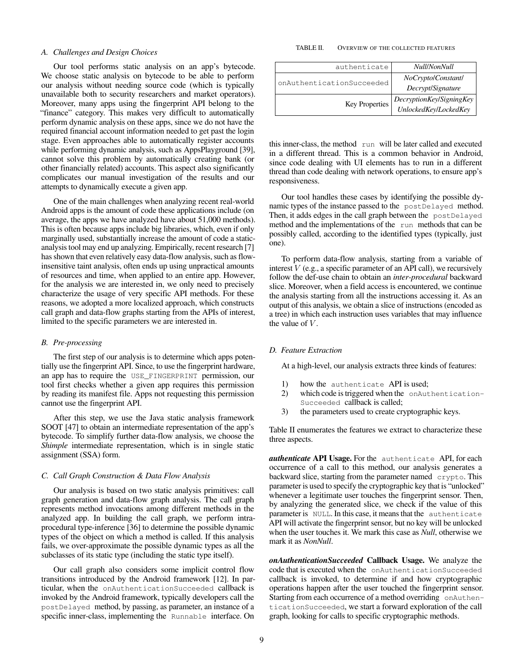## *A. Challenges and Design Choices*

Our tool performs static analysis on an app's bytecode. We choose static analysis on bytecode to be able to perform our analysis without needing source code (which is typically unavailable both to security researchers and market operators). Moreover, many apps using the fingerprint API belong to the "finance" category. This makes very difficult to automatically perform dynamic analysis on these apps, since we do not have the required financial account information needed to get past the login stage. Even approaches able to automatically register accounts while performing dynamic analysis, such as AppsPlayground [\[39\]](#page-14-24), cannot solve this problem by automatically creating bank (or other financially related) accounts. This aspect also significantly complicates our manual investigation of the results and our attempts to dynamically execute a given app.

One of the main challenges when analyzing recent real-world Android apps is the amount of code these applications include (on average, the apps we have analyzed have about 51,000 methods). This is often because apps include big libraries, which, even if only marginally used, substantially increase the amount of code a staticanalysis tool may end up analyzing. Empirically, recent research [\[7\]](#page-13-2) has shown that even relatively easy data-flow analysis, such as flowinsensitive taint analysis, often ends up using unpractical amounts of resources and time, when applied to an entire app. However, for the analysis we are interested in, we only need to precisely characterize the usage of very specific API methods. For these reasons, we adopted a more localized approach, which constructs call graph and data-flow graphs starting from the APIs of interest, limited to the specific parameters we are interested in.

# *B. Pre-processing*

The first step of our analysis is to determine which apps potentially use the fingerprint API. Since, to use the fingerprint hardware, an app has to require the USE\_FINGERPRINT permission, our tool first checks whether a given app requires this permission by reading its manifest file. Apps not requesting this permission cannot use the fingerprint API.

After this step, we use the Java static analysis framework SOOT [\[47\]](#page-14-25) to obtain an intermediate representation of the app's bytecode. To simplify further data-flow analysis, we choose the *Shimple* intermediate representation, which is in single static assignment (SSA) form.

#### *C. Call Graph Construction & Data Flow Analysis*

Our analysis is based on two static analysis primitives: call graph generation and data-flow graph analysis. The call graph represents method invocations among different methods in the analyzed app. In building the call graph, we perform intraprocedural type-inference [\[36\]](#page-14-26) to determine the possible dynamic types of the object on which a method is called. If this analysis fails, we over-approximate the possible dynamic types as all the subclasses of its static type (including the static type itself).

Our call graph also considers some implicit control flow transitions introduced by the Android framework [\[12\]](#page-14-27). In particular, when the onAuthenticationSucceeded callback is invoked by the Android framework, typically developers call the postDelayed method, by passing, as parameter, an instance of a specific inner-class, implementing the Runnable interface. On

#### <span id="page-8-0"></span>TABLE II. OVERVIEW OF THE COLLECTED FEATURES

| authenticate              | Null/NonNull             |
|---------------------------|--------------------------|
| onAuthenticationSucceeded | NoCryptolConstantl       |
|                           | Decrypt/Signature        |
| Key Properties            | DecryptionKey/SigningKey |
|                           | UnlockedKey/LockedKey    |

this inner-class, the method run will be later called and executed in a different thread. This is a common behavior in Android, since code dealing with UI elements has to run in a different thread than code dealing with network operations, to ensure app's responsiveness.

Our tool handles these cases by identifying the possible dynamic types of the instance passed to the postDelayed method. Then, it adds edges in the call graph between the postDelayed method and the implementations of the run methods that can be possibly called, according to the identified types (typically, just one).

To perform data-flow analysis, starting from a variable of interest  $V$  (e.g., a specific parameter of an API call), we recursively follow the def-use chain to obtain an *inter-procedural* backward slice. Moreover, when a field access is encountered, we continue the analysis starting from all the instructions accessing it. As an output of this analysis, we obtain a slice of instructions (encoded as a tree) in which each instruction uses variables that may influence the value of  $V$ .

#### *D. Feature Extraction*

At a high-level, our analysis extracts three kinds of features:

- 1) how the authenticate API is used;
- 2) which code is triggered when the onAuthentication-Succeeded callback is called;
- 3) the parameters used to create cryptographic keys.

Table [II](#page-8-0) enumerates the features we extract to characterize these three aspects.

*authenticate* API Usage. For the authenticate API, for each occurrence of a call to this method, our analysis generates a backward slice, starting from the parameter named crypto. This parameter is used to specify the cryptographic key that is "unlocked" whenever a legitimate user touches the fingerprint sensor. Then, by analyzing the generated slice, we check if the value of this parameter is NULL. In this case, it means that the authenticate API will activate the fingerprint sensor, but no key will be unlocked when the user touches it. We mark this case as *Null*, otherwise we mark it as *NonNull*.

*onAuthenticationSucceeded* Callback Usage. We analyze the code that is executed when the onAuthenticationSucceeded callback is invoked, to determine if and how cryptographic operations happen after the user touched the fingerprint sensor. Starting from each occurrence of a method overriding onAuthenticationSucceeded, we start a forward exploration of the call graph, looking for calls to specific cryptographic methods.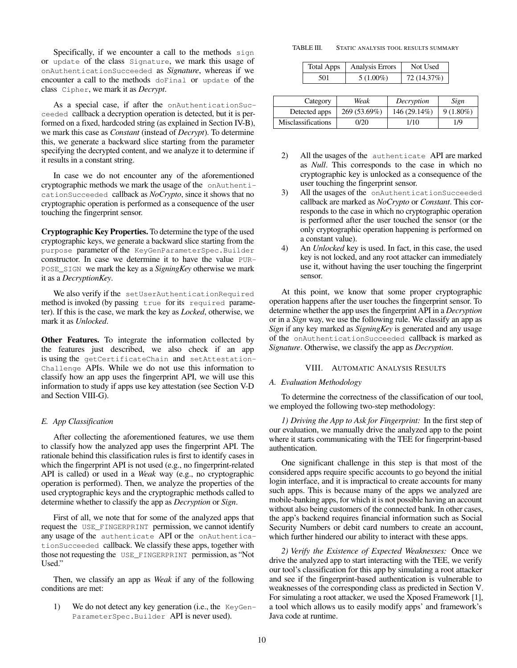Specifically, if we encounter a call to the methods sign or update of the class Signature, we mark this usage of onAuthenticationSucceeded as *Signature*, whereas if we encounter a call to the methods doFinal or update of the class Cipher, we mark it as *Decrypt*.

As a special case, if after the onAuthenticationSucceeded callback a decryption operation is detected, but it is performed on a fixed, hardcoded string (as explained in Section [IV-B\)](#page-5-1), we mark this case as *Constant* (instead of *Decrypt*). To determine this, we generate a backward slice starting from the parameter specifying the decrypted content, and we analyze it to determine if it results in a constant string.

In case we do not encounter any of the aforementioned cryptographic methods we mark the usage of the onAuthenticationSucceeded callback as *NoCrypto*, since it shows that no cryptographic operation is performed as a consequence of the user touching the fingerprint sensor.

Cryptographic Key Properties. To determine the type of the used cryptographic keys, we generate a backward slice starting from the purpose parameter of the KeyGenParameterSpec.Builder constructor. In case we determine it to have the value PUR-POSE\_SIGN we mark the key as a *SigningKey* otherwise we mark it as a *DecryptionKey*.

We also verify if the setUserAuthenticationRequired method is invoked (by passing true for its required parameter). If this is the case, we mark the key as *Locked*, otherwise, we mark it as *Unlocked*.

Other Features. To integrate the information collected by the features just described, we also check if an app is using the getCertificateChain and setAttestation-Challenge APIs. While we do not use this information to classify how an app uses the fingerprint API, we will use this information to study if apps use key attestation (see Section [V-D](#page-6-3) and Section [VIII-G\)](#page-11-0).

# *E. App Classification*

After collecting the aforementioned features, we use them to classify how the analyzed app uses the fingerprint API. The rationale behind this classification rules is first to identify cases in which the fingerprint API is not used (e.g., no fingerprint-related API is called) or used in a *Weak* way (e.g., no cryptographic operation is performed). Then, we analyze the properties of the used cryptographic keys and the cryptographic methods called to determine whether to classify the app as *Decryption* or *Sign*.

First of all, we note that for some of the analyzed apps that request the USE\_FINGERPRINT permission, we cannot identify any usage of the authenticate API or the onAuthenticationSucceeded callback. We classify these apps, together with those not requesting the USE\_FINGERPRINT permission, as "Not Used."

Then, we classify an app as *Weak* if any of the following conditions are met:

1) We do not detect any key generation (i.e., the KeyGen-ParameterSpec.Builder API is never used).

TABLE III. STATIC ANALYSIS TOOL RESULTS SUMMARY

<span id="page-9-1"></span>

| Total Apps | Analysis Errors | Not Used    |
|------------|-----------------|-------------|
| 501        | $5(1.00\%)$     | 72 (14.37%) |

| Category                  | Weak         | Decryption   | Sign        |
|---------------------------|--------------|--------------|-------------|
| Detected apps             | 269 (53.69%) | 146 (29.14%) | $9(1.80\%)$ |
| <b>Misclassifications</b> | 0/20         | 1/10         | 1/9         |

- 2) All the usages of the authenticate API are marked as *Null*. This corresponds to the case in which no cryptographic key is unlocked as a consequence of the user touching the fingerprint sensor.
- 3) All the usages of the onAuthenticationSucceeded callback are marked as *NoCrypto* or *Constant*. This corresponds to the case in which no cryptographic operation is performed after the user touched the sensor (or the only cryptographic operation happening is performed on a constant value).
- 4) An *Unlocked* key is used. In fact, in this case, the used key is not locked, and any root attacker can immediately use it, without having the user touching the fingerprint sensor.

At this point, we know that some proper cryptographic operation happens after the user touches the fingerprint sensor. To determine whether the app uses the fingerprint API in a *Decryption* or in a *Sign* way, we use the following rule. We classify an app as *Sign* if any key marked as *SigningKey* is generated and any usage of the onAuthenticationSucceeded callback is marked as *Signature*. Otherwise, we classify the app as *Decryption*.

## VIII. AUTOMATIC ANALYSIS RESULTS

## <span id="page-9-2"></span>*A. Evaluation Methodology*

To determine the correctness of the classification of our tool, we employed the following two-step methodology:

*1) Driving the App to Ask for Fingerprint:* In the first step of our evaluation, we manually drive the analyzed app to the point where it starts communicating with the TEE for fingerprint-based authentication.

One significant challenge in this step is that most of the considered apps require specific accounts to go beyond the initial login interface, and it is impractical to create accounts for many such apps. This is because many of the apps we analyzed are mobile-banking apps, for which it is not possible having an account without also being customers of the connected bank. In other cases, the app's backend requires financial information such as Social Security Numbers or debit card numbers to create an account, which further hindered our ability to interact with these apps.

<span id="page-9-0"></span>*2) Verify the Existence of Expected Weaknesses:* Once we drive the analyzed app to start interacting with the TEE, we verify our tool's classification for this app by simulating a root attacker and see if the fingerprint-based authentication is vulnerable to weaknesses of the corresponding class as predicted in Section [V.](#page-5-0) For simulating a root attacker, we used the Xposed Framework [\[1\]](#page-13-3), a tool which allows us to easily modify apps' and framework's Java code at runtime.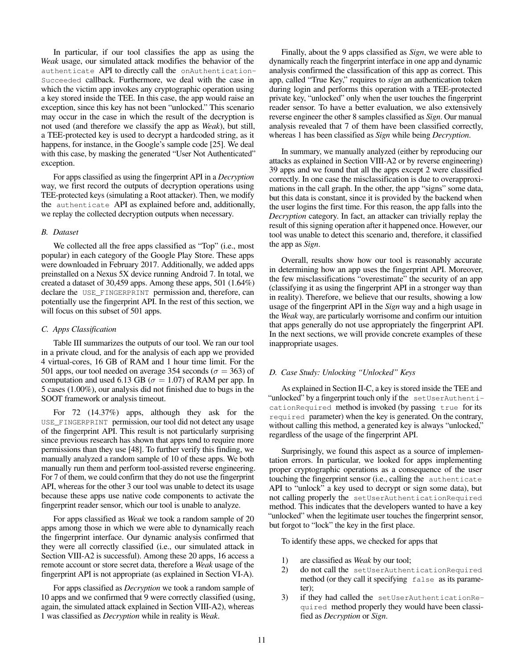In particular, if our tool classifies the app as using the *Weak* usage, our simulated attack modifies the behavior of the authenticate API to directly call the onAuthentication-Succeeded callback. Furthermore, we deal with the case in which the victim app invokes any cryptographic operation using a key stored inside the TEE. In this case, the app would raise an exception, since this key has not been "unlocked." This scenario may occur in the case in which the result of the decryption is not used (and therefore we classify the app as *Weak*), but still, a TEE-protected key is used to decrypt a hardcoded string, as it happens, for instance, in the Google's sample code [\[25\]](#page-14-21). We deal with this case, by masking the generated "User Not Authenticated" exception.

For apps classified as using the fingerprint API in a *Decryption* way, we first record the outputs of decryption operations using TEE-protected keys (simulating a Root attacker). Then, we modify the authenticate API as explained before and, additionally, we replay the collected decryption outputs when necessary.

# *B. Dataset*

We collected all the free apps classified as "Top" (i.e., most popular) in each category of the Google Play Store. These apps were downloaded in February 2017. Additionally, we added apps preinstalled on a Nexus 5X device running Android 7. In total, we created a dataset of 30,459 apps. Among these apps, 501 (1.64%) declare the USE\_FINGERPRINT permission and, therefore, can potentially use the fingerprint API. In the rest of this section, we will focus on this subset of 501 apps.

# <span id="page-10-0"></span>*C. Apps Classification*

Table [III](#page-9-1) summarizes the outputs of our tool. We ran our tool in a private cloud, and for the analysis of each app we provided 4 virtual-cores, 16 GB of RAM and 1 hour time limit. For the 501 apps, our tool needed on average 354 seconds ( $\sigma = 363$ ) of computation and used 6.13 GB ( $\sigma = 1.07$ ) of RAM per app. In 5 cases (1.00%), our analysis did not finished due to bugs in the SOOT framework or analysis timeout.

For 72 (14.37%) apps, although they ask for the USE\_FINGERPRINT permission, our tool did not detect any usage of the fingerprint API. This result is not particularly surprising since previous research has shown that apps tend to require more permissions than they use [\[48\]](#page-14-28). To further verify this finding, we manually analyzed a random sample of 10 of these apps. We both manually run them and perform tool-assisted reverse engineering. For 7 of them, we could confirm that they do not use the fingerprint API, whereas for the other 3 our tool was unable to detect its usage because these apps use native code components to activate the fingerprint reader sensor, which our tool is unable to analyze.

For apps classified as *Weak* we took a random sample of 20 apps among those in which we were able to dynamically reach the fingerprint interface. Our dynamic analysis confirmed that they were all correctly classified (i.e., our simulated attack in Section [VIII-A2](#page-9-0) is successful). Among these 20 apps, 16 access a remote account or store secret data, therefore a *Weak* usage of the fingerprint API is not appropriate (as explained in Section [VI-A\)](#page-6-0).

For apps classified as *Decryption* we took a random sample of 10 apps and we confirmed that 9 were correctly classified (using, again, the simulated attack explained in Section [VIII-A2\)](#page-9-0), whereas 1 was classified as *Decryption* while in reality is *Weak*.

Finally, about the 9 apps classified as *Sign*, we were able to dynamically reach the fingerprint interface in one app and dynamic analysis confirmed the classification of this app as correct. This app, called "True Key," requires to *sign* an authentication token during login and performs this operation with a TEE-protected private key, "unlocked" only when the user touches the fingerprint reader sensor. To have a better evaluation, we also extensively reverse engineer the other 8 samples classified as *Sign*. Our manual analysis revealed that 7 of them have been classified correctly, whereas 1 has been classified as *Sign* while being *Decryption*.

In summary, we manually analyzed (either by reproducing our attacks as explained in Section [VIII-A2](#page-9-0) or by reverse engineering) 39 apps and we found that all the apps except 2 were classified correctly. In one case the misclassification is due to overapproximations in the call graph. In the other, the app "signs" some data, but this data is constant, since it is provided by the backend when the user logins the first time. For this reason, the app falls into the *Decryption* category. In fact, an attacker can trivially replay the result of this signing operation after it happened once. However, our tool was unable to detect this scenario and, therefore, it classified the app as *Sign*.

Overall, results show how our tool is reasonably accurate in determining how an app uses the fingerprint API. Moreover, the few misclassifications "overestimate" the security of an app (classifying it as using the fingerprint API in a stronger way than in reality). Therefore, we believe that our results, showing a low usage of the fingerprint API in the *Sign* way and a high usage in the *Weak* way, are particularly worrisome and confirm our intuition that apps generally do not use appropriately the fingerprint API. In the next sections, we will provide concrete examples of these inappropriate usages.

# *D. Case Study: Unlocking "Unlocked" Keys*

As explained in Section [II-C,](#page-2-0) a key is stored inside the TEE and "unlocked" by a fingerprint touch only if the setUserAuthenticationRequired method is invoked (by passing true for its required parameter) when the key is generated. On the contrary, without calling this method, a generated key is always "unlocked," regardless of the usage of the fingerprint API.

Surprisingly, we found this aspect as a source of implementation errors. In particular, we looked for apps implementing proper cryptographic operations as a consequence of the user touching the fingerprint sensor (i.e., calling the authenticate API to "unlock" a key used to decrypt or sign some data), but not calling properly the setUserAuthenticationRequired method. This indicates that the developers wanted to have a key "unlocked" when the legitimate user touches the fingerprint sensor, but forgot to "lock" the key in the first place.

To identify these apps, we checked for apps that

- 1) are classified as *Weak* by our tool;
- 2) do not call the setUserAuthenticationRequired method (or they call it specifying false as its parameter);
- 3) if they had called the setUserAuthenticationRequired method properly they would have been classified as *Decryption* or *Sign*.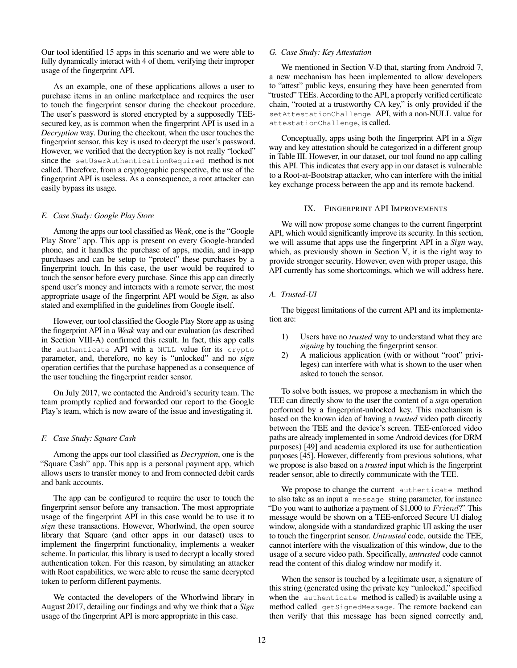Our tool identified 15 apps in this scenario and we were able to fully dynamically interact with 4 of them, verifying their improper usage of the fingerprint API.

As an example, one of these applications allows a user to purchase items in an online marketplace and requires the user to touch the fingerprint sensor during the checkout procedure. The user's password is stored encrypted by a supposedly TEEsecured key, as is common when the fingerprint API is used in a *Decryption* way. During the checkout, when the user touches the fingerprint sensor, this key is used to decrypt the user's password. However, we verified that the decryption key is not really "locked" since the setUserAuthenticationRequired method is not called. Therefore, from a cryptographic perspective, the use of the fingerprint API is useless. As a consequence, a root attacker can easily bypass its usage.

#### *E. Case Study: Google Play Store*

Among the apps our tool classified as *Weak*, one is the "Google Play Store" app. This app is present on every Google-branded phone, and it handles the purchase of apps, media, and in-app purchases and can be setup to "protect" these purchases by a fingerprint touch. In this case, the user would be required to touch the sensor before every purchase. Since this app can directly spend user's money and interacts with a remote server, the most appropriate usage of the fingerprint API would be *Sign*, as also stated and exemplified in the guidelines from Google itself.

However, our tool classified the Google Play Store app as using the fingerprint API in a *Weak* way and our evaluation (as described in Section [VIII-A\)](#page-9-2) confirmed this result. In fact, this app calls the authenticate API with a NULL value for its crypto parameter, and, therefore, no key is "unlocked" and no *sign* operation certifies that the purchase happened as a consequence of the user touching the fingerprint reader sensor.

On July 2017, we contacted the Android's security team. The team promptly replied and forwarded our report to the Google Play's team, which is now aware of the issue and investigating it.

#### *F. Case Study: Square Cash*

Among the apps our tool classified as *Decryption*, one is the "Square Cash" app. This app is a personal payment app, which allows users to transfer money to and from connected debit cards and bank accounts.

The app can be configured to require the user to touch the fingerprint sensor before any transaction. The most appropriate usage of the fingerprint API in this case would be to use it to *sign* these transactions. However, Whorlwind, the open source library that Square (and other apps in our dataset) uses to implement the fingerprint functionality, implements a weaker scheme. In particular, this library is used to decrypt a locally stored authentication token. For this reason, by simulating an attacker with Root capabilities, we were able to reuse the same decrypted token to perform different payments.

We contacted the developers of the Whorlwind library in August 2017, detailing our findings and why we think that a *Sign* usage of the fingerprint API is more appropriate in this case.

#### <span id="page-11-0"></span>*G. Case Study: Key Attestation*

We mentioned in Section [V-D](#page-6-3) that, starting from Android 7, a new mechanism has been implemented to allow developers to "attest" public keys, ensuring they have been generated from "trusted" TEEs. According to the API, a properly verified certificate chain, "rooted at a trustworthy CA key," is only provided if the setAttestationChallenge API, with a non-NULL value for attestationChallenge, is called.

Conceptually, apps using both the fingerprint API in a *Sign* way and key attestation should be categorized in a different group in Table [III.](#page-9-1) However, in our dataset, our tool found no app calling this API. This indicates that every app in our dataset is vulnerable to a Root-at-Bootstrap attacker, who can interfere with the initial key exchange process between the app and its remote backend.

#### IX. FINGERPRINT API IMPROVEMENTS

We will now propose some changes to the current fingerprint API, which would significantly improve its security. In this section, we will assume that apps use the fingerprint API in a *Sign* way, which, as previously shown in Section [V,](#page-5-0) it is the right way to provide stronger security. However, even with proper usage, this API currently has some shortcomings, which we will address here.

## *A. Trusted-UI*

The biggest limitations of the current API and its implementation are:

- 1) Users have no *trusted* way to understand what they are *signing* by touching the fingerprint sensor.
- 2) A malicious application (with or without "root" privileges) can interfere with what is shown to the user when asked to touch the sensor.

To solve both issues, we propose a mechanism in which the TEE can directly show to the user the content of a *sign* operation performed by a fingerprint-unlocked key. This mechanism is based on the known idea of having a *trusted* video path directly between the TEE and the device's screen. TEE-enforced video paths are already implemented in some Android devices (for DRM purposes) [\[49\]](#page-14-29) and academia explored its use for authentication purposes [\[45\]](#page-14-30). However, differently from previous solutions, what we propose is also based on a *trusted* input which is the fingerprint reader sensor, able to directly communicate with the TEE.

We propose to change the current authenticate method to also take as an input a message string parameter, for instance "Do you want to authorize a payment of \$1,000 to  $Friend$ ." This message would be shown on a TEE-enforced Secure UI dialog window, alongside with a standardized graphic UI asking the user to touch the fingerprint sensor. *Untrusted* code, outside the TEE, cannot interfere with the visualization of this window, due to the usage of a secure video path. Specifically, *untrusted* code cannot read the content of this dialog window nor modify it.

When the sensor is touched by a legitimate user, a signature of this string (generated using the private key "unlocked," specified when the authenticate method is called) is available using a method called getSignedMessage. The remote backend can then verify that this message has been signed correctly and,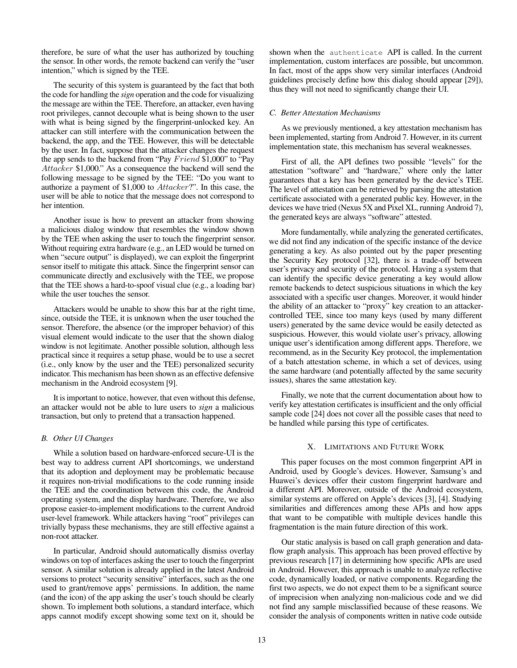therefore, be sure of what the user has authorized by touching the sensor. In other words, the remote backend can verify the "user intention," which is signed by the TEE.

The security of this system is guaranteed by the fact that both the code for handling the *sign* operation and the code for visualizing the message are within the TEE. Therefore, an attacker, even having root privileges, cannot decouple what is being shown to the user with what is being signed by the fingerprint-unlocked key. An attacker can still interfere with the communication between the backend, the app, and the TEE. However, this will be detectable by the user. In fact, suppose that the attacker changes the request the app sends to the backend from "Pay  $Friend \$ \$1,000" to "Pay Attacker \$1,000." As a consequence the backend will send the following message to be signed by the TEE: "Do you want to authorize a payment of \$1,000 to Attacker?". In this case, the user will be able to notice that the message does not correspond to her intention.

Another issue is how to prevent an attacker from showing a malicious dialog window that resembles the window shown by the TEE when asking the user to touch the fingerprint sensor. Without requiring extra hardware (e.g., an LED would be turned on when "secure output" is displayed), we can exploit the fingerprint sensor itself to mitigate this attack. Since the fingerprint sensor can communicate directly and exclusively with the TEE, we propose that the TEE shows a hard-to-spoof visual clue (e.g., a loading bar) while the user touches the sensor.

Attackers would be unable to show this bar at the right time, since, outside the TEE, it is unknown when the user touched the sensor. Therefore, the absence (or the improper behavior) of this visual element would indicate to the user that the shown dialog window is not legitimate. Another possible solution, although less practical since it requires a setup phase, would be to use a secret (i.e., only know by the user and the TEE) personalized security indicator. This mechanism has been shown as an effective defensive mechanism in the Android ecosystem [\[9\]](#page-14-18).

It is important to notice, however, that even without this defense, an attacker would not be able to lure users to *sign* a malicious transaction, but only to pretend that a transaction happened.

## *B. Other UI Changes*

While a solution based on hardware-enforced secure-UI is the best way to address current API shortcomings, we understand that its adoption and deployment may be problematic because it requires non-trivial modifications to the code running inside the TEE and the coordination between this code, the Android operating system, and the display hardware. Therefore, we also propose easier-to-implement modifications to the current Android user-level framework. While attackers having "root" privileges can trivially bypass these mechanisms, they are still effective against a non-root attacker.

In particular, Android should automatically dismiss overlay windows on top of interfaces asking the user to touch the fingerprint sensor. A similar solution is already applied in the latest Android versions to protect "security sensitive" interfaces, such as the one used to grant/remove apps' permissions. In addition, the name (and the icon) of the app asking the user's touch should be clearly shown. To implement both solutions, a standard interface, which apps cannot modify except showing some text on it, should be shown when the authenticate API is called. In the current implementation, custom interfaces are possible, but uncommon. In fact, most of the apps show very similar interfaces (Android guidelines precisely define how this dialog should appear [\[29\]](#page-14-31)), thus they will not need to significantly change their UI.

## <span id="page-12-0"></span>*C. Better Attestation Mechanisms*

As we previously mentioned, a key attestation mechanism has been implemented, starting from Android 7. However, in its current implementation state, this mechanism has several weaknesses.

First of all, the API defines two possible "levels" for the attestation "software" and "hardware," where only the latter guarantees that a key has been generated by the device's TEE. The level of attestation can be retrieved by parsing the attestation certificate associated with a generated public key. However, in the devices we have tried (Nexus 5X and Pixel XL, running Android 7), the generated keys are always "software" attested.

More fundamentally, while analyzing the generated certificates, we did not find any indication of the specific instance of the device generating a key. As also pointed out by the paper presenting the Security Key protocol [\[32\]](#page-14-1), there is a trade-off between user's privacy and security of the protocol. Having a system that can identify the specific device generating a key would allow remote backends to detect suspicious situations in which the key associated with a specific user changes. Moreover, it would hinder the ability of an attacker to "proxy" key creation to an attackercontrolled TEE, since too many keys (used by many different users) generated by the same device would be easily detected as suspicious. However, this would violate user's privacy, allowing unique user's identification among different apps. Therefore, we recommend, as in the Security Key protocol, the implementation of a batch attestation scheme, in which a set of devices, using the same hardware (and potentially affected by the same security issues), shares the same attestation key.

Finally, we note that the current documentation about how to verify key attestation certificates is insufficient and the only official sample code [\[24\]](#page-14-32) does not cover all the possible cases that need to be handled while parsing this type of certificates.

# X. LIMITATIONS AND FUTURE WORK

This paper focuses on the most common fingerprint API in Android, used by Google's devices. However, Samsung's and Huawei's devices offer their custom fingerprint hardware and a different API. Moreover, outside of the Android ecosystem, similar systems are offered on Apple's devices [\[3\]](#page-13-4), [\[4\]](#page-13-5). Studying similarities and differences among these APIs and how apps that want to be compatible with multiple devices handle this fragmentation is the main future direction of this work.

Our static analysis is based on call graph generation and dataflow graph analysis. This approach has been proved effective by previous research [\[17\]](#page-14-33) in determining how specific APIs are used in Android. However, this approach is unable to analyze reflective code, dynamically loaded, or native components. Regarding the first two aspects, we do not expect them to be a significant source of imprecision when analyzing non-malicious code and we did not find any sample misclassified because of these reasons. We consider the analysis of components written in native code outside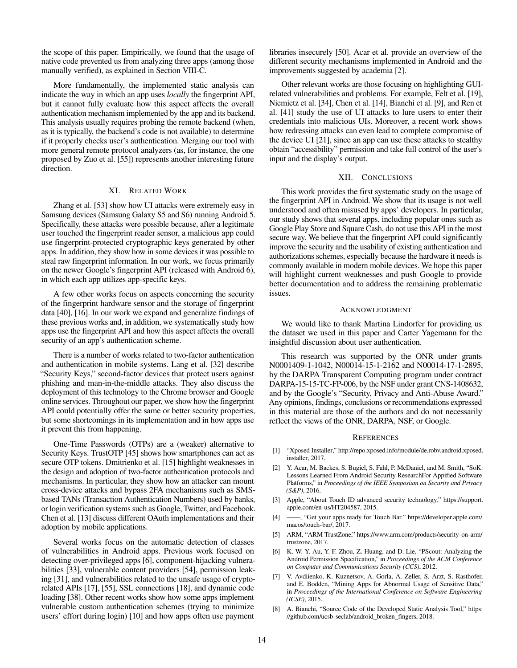the scope of this paper. Empirically, we found that the usage of native code prevented us from analyzing three apps (among those manually verified), as explained in Section [VIII-C.](#page-10-0)

More fundamentally, the implemented static analysis can indicate the way in which an app uses *locally* the fingerprint API, but it cannot fully evaluate how this aspect affects the overall authentication mechanism implemented by the app and its backend. This analysis usually requires probing the remote backend (when, as it is typically, the backend's code is not available) to determine if it properly checks user's authentication. Merging our tool with more general remote protocol analyzers (as, for instance, the one proposed by Zuo et al. [\[55\]](#page-14-34)) represents another interesting future direction.

# XI. RELATED WORK

Zhang et al. [\[53\]](#page-14-23) show how UI attacks were extremely easy in Samsung devices (Samsung Galaxy S5 and S6) running Android 5. Specifically, these attacks were possible because, after a legitimate user touched the fingerprint reader sensor, a malicious app could use fingerprint-protected cryptographic keys generated by other apps. In addition, they show how in some devices it was possible to steal raw fingerprint information. In our work, we focus primarily on the newer Google's fingerprint API (released with Android 6), in which each app utilizes app-specific keys.

A few other works focus on aspects concerning the security of the fingerprint hardware sensor and the storage of fingerprint data [\[40\]](#page-14-35), [\[16\]](#page-14-36). In our work we expand and generalize findings of these previous works and, in addition, we systematically study how apps use the fingerprint API and how this aspect affects the overall security of an app's authentication scheme.

There is a number of works related to two-factor authentication and authentication in mobile systems. Lang et al. [\[32\]](#page-14-1) describe "Security Keys," second-factor devices that protect users against phishing and man-in-the-middle attacks. They also discuss the deployment of this technology to the Chrome browser and Google online services. Throughout our paper, we show how the fingerprint API could potentially offer the same or better security properties, but some shortcomings in its implementation and in how apps use it prevent this from happening.

One-Time Passwords (OTPs) are a (weaker) alternative to Security Keys. TrustOTP [\[45\]](#page-14-30) shows how smartphones can act as secure OTP tokens. Dmitrienko et al. [\[15\]](#page-14-11) highlight weaknesses in the design and adoption of two-factor authentication protocols and mechanisms. In particular, they show how an attacker can mount cross-device attacks and bypass 2FA mechanisms such as SMSbased TANs (Transaction Authentication Numbers) used by banks, or login verification systems such as Google, Twitter, and Facebook. Chen et al. [\[13\]](#page-14-37) discuss different OAuth implementations and their adoption by mobile applications.

Several works focus on the automatic detection of classes of vulnerabilities in Android apps. Previous work focused on detecting over-privileged apps [\[6\]](#page-13-6), component-hijacking vulnerabilities [\[33\]](#page-14-38), vulnerable content providers [\[54\]](#page-14-39), permission leaking [\[31\]](#page-14-40), and vulnerabilities related to the unsafe usage of cryptorelated APIs [\[17\]](#page-14-33), [\[55\]](#page-14-34), SSL connections [\[18\]](#page-14-41), and dynamic code loading [\[38\]](#page-14-42). Other recent works show how some apps implement vulnerable custom authentication schemes (trying to minimize users' effort during login) [\[10\]](#page-14-43) and how apps often use payment

libraries insecurely [\[50\]](#page-14-44). Acar et al. provide an overview of the different security mechanisms implemented in Android and the improvements suggested by academia [\[2\]](#page-13-7).

Other relevant works are those focusing on highlighting GUIrelated vulnerabilities and problems. For example, Felt et al. [\[19\]](#page-14-45), Niemietz et al. [\[34\]](#page-14-16), Chen et al. [\[14\]](#page-14-17), Bianchi et al. [\[9\]](#page-14-18), and Ren et al. [\[41\]](#page-14-46) study the use of UI attacks to lure users to enter their credentials into malicious UIs. Moreover, a recent work shows how redressing attacks can even lead to complete compromise of the device UI [\[21\]](#page-14-19), since an app can use these attacks to stealthy obtain "accessibility" permission and take full control of the user's input and the display's output.

#### XII. CONCLUSIONS

This work provides the first systematic study on the usage of the fingerprint API in Android. We show that its usage is not well understood and often misused by apps' developers. In particular, our study shows that several apps, including popular ones such as Google Play Store and Square Cash, do not use this API in the most secure way. We believe that the fingerprint API could significantly improve the security and the usability of existing authentication and authorizations schemes, especially because the hardware it needs is commonly available in modern mobile devices. We hope this paper will highlight current weaknesses and push Google to provide better documentation and to address the remaining problematic issues.

## ACKNOWLEDGMENT

We would like to thank Martina Lindorfer for providing us the dataset we used in this paper and Carter Yagemann for the insightful discussion about user authentication.

This research was supported by the ONR under grants N0001409-1-1042, N00014-15-1-2162 and N00014-17-1-2895, by the DARPA Transparent Computing program under contract DARPA-15-15-TC-FP-006, by the NSF under grant CNS-1408632, and by the Google's "Security, Privacy and Anti-Abuse Award." Any opinions, findings, conclusions or recommendations expressed in this material are those of the authors and do not necessarily reflect the views of the ONR, DARPA, NSF, or Google.

#### **REFERENCES**

- <span id="page-13-3"></span>[1] "Xposed Installer," [http://repo.xposed.info/module/de.robv.android.xposed.](http://repo.xposed.info/module/de.robv.android.xposed.installer) [installer,](http://repo.xposed.info/module/de.robv.android.xposed.installer) 2017.
- <span id="page-13-7"></span>[2] Y. Acar, M. Backes, S. Bugiel, S. Fahl, P. McDaniel, and M. Smith, "SoK: Lessons Learned From Android Security ResearchFor Appified Software Platforms," in *Proceedings of the IEEE Symposium on Security and Privacy (S&P)*, 2016.
- <span id="page-13-4"></span>[3] Apple, "About Touch ID advanced security technology," [https://support.](https://support.apple.com/en-us/HT204587) [apple.com/en-us/HT204587,](https://support.apple.com/en-us/HT204587) 2015.
- <span id="page-13-5"></span>[4] ——, "Get your apps ready for Touch Bar." [https://developer.apple.com/](https://developer.apple.com/macos/touch-bar/) [macos/touch-bar/,](https://developer.apple.com/macos/touch-bar/) 2017.
- <span id="page-13-0"></span>[5] ARM, "ARM TrustZone," [https://www.arm.com/products/security-on-arm/](https://www.arm.com/products/security-on-arm/trustzone) [trustzone,](https://www.arm.com/products/security-on-arm/trustzone) 2017.
- <span id="page-13-6"></span>[6] K. W. Y. Au, Y. F. Zhou, Z. Huang, and D. Lie, "PScout: Analyzing the Android Permission Specification," in *Proceedings of the ACM Conference on Computer and Communications Security (CCS)*, 2012.
- <span id="page-13-2"></span>[7] V. Avdiienko, K. Kuznetsov, A. Gorla, A. Zeller, S. Arzt, S. Rasthofer, and E. Bodden, "Mining Apps for Abnormal Usage of Sensitive Data," in *Proceedings of the International Conference on Software Engineering (ICSE)*, 2015.
- <span id="page-13-1"></span>[8] A. Bianchi, "Source Code of the Developed Static Analysis Tool," [https:](https://github.com/ucsb-seclab/android_broken_fingers) [//github.com/ucsb-seclab/android](https://github.com/ucsb-seclab/android_broken_fingers)\_broken\_fingers, 2018.